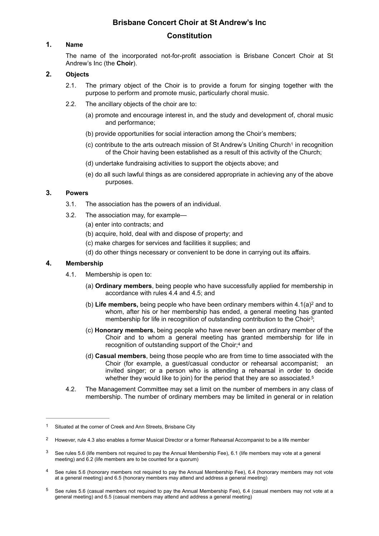# **Brisbane Concert Choir at St Andrew's Inc**

# <span id="page-0-5"></span>**Constitution**

# **1. Name**

The name of the incorporated not-for-profit association is Brisbane Concert Choir at St Andrew's Inc (the **Choir**).

# **2. Objects**

- 2.1. The primary object of the Choir is to provide a forum for singing together with the purpose to perform and promote music, particularly choral music.
- 2.2. The ancillary objects of the choir are to:
	- (a) promote and encourage interest in, and the study and development of, choral music and performance;
	- (b) provide opportunities for social interaction among the Choir's members;
	- (c) contribute to the arts outreach mission of St Andrew's Uniting Church in recognition [1](#page-0-0) of the Choir having been established as a result of this activity of the Church;
	- (d) undertake fundraising activities to support the objects above; and
	- (e) do all such lawful things as are considered appropriate in achieving any of the above purposes.

# **3. Powers**

- 3.1. The association has the powers of an individual.
- 3.2. The association may, for example—
	- (a) enter into contracts; and
	- (b) acquire, hold, deal with and dispose of property; and
	- (c) make charges for services and facilities it supplies; and
	- (d) do other things necessary or convenient to be done in carrying out its affairs.

# **4. Membership**

- <span id="page-0-7"></span><span id="page-0-6"></span>4.1. Membership is open to:
	- (a) **Ordinary members**, being people who have successfully applied for membership in accordance with rules 4.4 and 4.5; and
	- (b) **Life members,** being people who have been ordinary members within  $4.1(a)^2$  $4.1(a)^2$  and to whom, after his or her membership has ended, a general meeting has granted membership for life in recognition of outstanding contribution to the Choir<sup>[3](#page-0-2)</sup>;
	- (c) **Honorary members**, being people who have never been an ordinary member of the Choir and to whom a general meeting has granted membership for life in recognition of outstanding support of the Choir[;4](#page-0-3) and
	- (d) **Casual members**, being those people who are from time to time associated with the Choir (for example, a guest/casual conductor or rehearsal accompanist; an invited singer; or a person who is attending a rehearsal in order to decide whether they would like to join) for the period that they are so associated.<sup>5</sup>
- <span id="page-0-9"></span><span id="page-0-8"></span>4.2. The Management Committee may set a limit on the number of members in any class of membership. The number of ordinary members may be limited in general or in relation

<span id="page-0-3"></span>See rules 5.6 (honorary members not required to pay the Annual Membership Fee), 6.[4](#page-0-8) (honorary members may not vote at a general meeting) and 6.5 (honorary members may attend and address a general meeting)

<span id="page-0-0"></span><sup>&</sup>lt;sup>[1](#page-0-5)</sup> Situated at the corner of Creek and Ann Streets, Brisbane City

<span id="page-0-1"></span>However, rule 4.3 also enables a former Musical Director or a former Rehearsal Accompanist to be a life member [2](#page-0-6)

<span id="page-0-2"></span>[<sup>3</sup>](#page-0-7) See rules 5.6 (life members not required to pay the Annual Membership Fee), 6.1 (life members may vote at a general meeting) and 6.2 (life members are to be counted for a quorum)

<span id="page-0-4"></span>[<sup>5</sup>](#page-0-9) See rules 5.6 (casual members not required to pay the Annual Membership Fee), 6.4 (casual members may not vote at a general meeting) and 6.5 (casual members may attend and address a general meeting)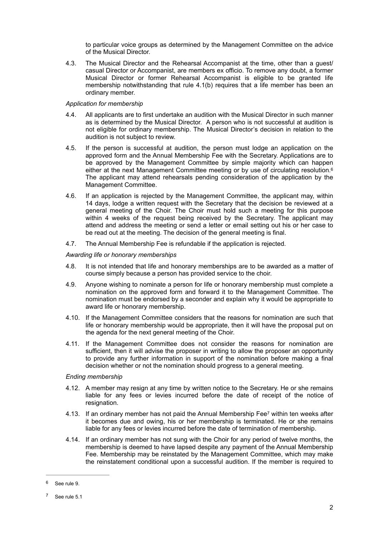to particular voice groups as determined by the Management Committee on the advice of the Musical Director.

4.3. The Musical Director and the Rehearsal Accompanist at the time, other than a guest/ casual Director or Accompanist, are members ex officio. To remove any doubt, a former Musical Director or former Rehearsal Accompanist is eligible to be granted life membership notwithstanding that rule 4.1(b) requires that a life member has been an ordinary member.

#### *Application for membership*

- 4.4. All applicants are to first undertake an audition with the Musical Director in such manner as is determined by the Musical Director. A person who is not successful at audition is not eligible for ordinary membership. The Musical Director's decision in relation to the audition is not subject to review.
- <span id="page-1-2"></span>4.5. If the person is successful at audition, the person must lodge an application on the approved form and the Annual Membership Fee with the Secretary. Applications are to be approved by the Management Committee by simple majority which can happen either at the next Management Committee meeting or by use of circulating resolution[.6](#page-1-0) The applicant may attend rehearsals pending consideration of the application by the Management Committee.
- 4.6. If an application is rejected by the Management Committee, the applicant may, within 14 days, lodge a written request with the Secretary that the decision be reviewed at a general meeting of the Choir. The Choir must hold such a meeting for this purpose within 4 weeks of the request being received by the Secretary. The applicant may attend and address the meeting or send a letter or email setting out his or her case to be read out at the meeting. The decision of the general meeting is final.
- 4.7. The Annual Membership Fee is refundable if the application is rejected.

### *Awarding life or honorary memberships*

- 4.8. It is not intended that life and honorary memberships are to be awarded as a matter of course simply because a person has provided service to the choir.
- 4.9. Anyone wishing to nominate a person for life or honorary membership must complete a nomination on the approved form and forward it to the Management Committee. The nomination must be endorsed by a seconder and explain why it would be appropriate to award life or honorary membership.
- 4.10. If the Management Committee considers that the reasons for nomination are such that life or honorary membership would be appropriate, then it will have the proposal put on the agenda for the next general meeting of the Choir.
- 4.11. If the Management Committee does not consider the reasons for nomination are sufficient, then it will advise the proposer in writing to allow the proposer an opportunity to provide any further information in support of the nomination before making a final decision whether or not the nomination should progress to a general meeting.

#### *Ending membership*

- 4.12. A member may resign at any time by written notice to the Secretary. He or she remains liable for any fees or levies incurred before the date of receipt of the notice of resignation.
- <span id="page-1-3"></span>4.13. If an ordinary m[e](#page-1-1)mber has not paid the Annual Membership Fee<sup>[7](#page-1-1)</sup> within ten weeks after it becomes due and owing, his or her membership is terminated. He or she remains liable for any fees or levies incurred before the date of termination of membership.
- 4.14. If an ordinary member has not sung with the Choir for any period of twelve months, the membership is deemed to have lapsed despite any payment of the Annual Membership Fee. Membership may be reinstated by the Management Committee, which may make the reinstatement conditional upon a successful audition. If the member is required to

<span id="page-1-0"></span>See rule 9.

<span id="page-1-1"></span> $7$  See rule 5.1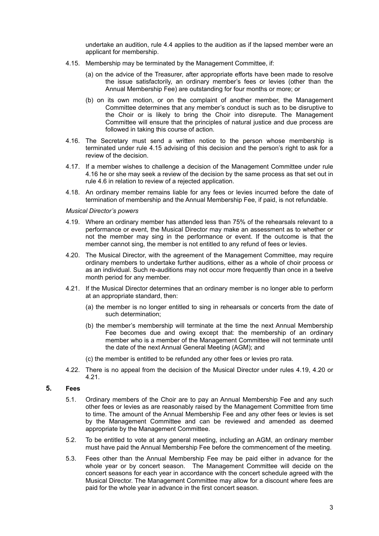undertake an audition, rule 4.4 applies to the audition as if the lapsed member were an applicant for membership.

- 4.15. Membership may be terminated by the Management Committee, if:
	- (a) on the advice of the Treasurer, after appropriate efforts have been made to resolve the issue satisfactorily, an ordinary member's fees or levies (other than the Annual Membership Fee) are outstanding for four months or more; or
	- (b) on its own motion, or on the complaint of another member, the Management Committee determines that any member's conduct is such as to be disruptive to the Choir or is likely to bring the Choir into disrepute. The Management Committee will ensure that the principles of natural justice and due process are followed in taking this course of action.
- 4.16. The Secretary must send a written notice to the person whose membership is terminated under rule 4.15 advising of this decision and the person's right to ask for a review of the decision.
- 4.17. If a member wishes to challenge a decision of the Management Committee under rule 4.16 he or she may seek a review of the decision by the same process as that set out in rule 4.6 in relation to review of a rejected application.
- 4.18. An ordinary member remains liable for any fees or levies incurred before the date of termination of membership and the Annual Membership Fee, if paid, is not refundable.

#### *Musical Director's powers*

- 4.19. Where an ordinary member has attended less than 75% of the rehearsals relevant to a performance or event, the Musical Director may make an assessment as to whether or not the member may sing in the performance or event. If the outcome is that the member cannot sing, the member is not entitled to any refund of fees or levies.
- 4.20. The Musical Director, with the agreement of the Management Committee, may require ordinary members to undertake further auditions, either as a whole of choir process or as an individual. Such re-auditions may not occur more frequently than once in a twelve month period for any member.
- 4.21. If the Musical Director determines that an ordinary member is no longer able to perform at an appropriate standard, then:
	- (a) the member is no longer entitled to sing in rehearsals or concerts from the date of such determination;
	- (b) the member's membership will terminate at the time the next Annual Membership Fee becomes due and owing except that: the membership of an ordinary member who is a member of the Management Committee will not terminate until the date of the next Annual General Meeting (AGM); and
	- (c) the member is entitled to be refunded any other fees or levies pro rata.
- 4.22. There is no appeal from the decision of the Musical Director under rules 4.19, 4.20 or 4.21.

### **5. Fees**

- 5.1. Ordinary members of the Choir are to pay an Annual Membership Fee and any such other fees or levies as are reasonably raised by the Management Committee from time to time. The amount of the Annual Membership Fee and any other fees or levies is set by the Management Committee and can be reviewed and amended as deemed appropriate by the Management Committee.
- 5.2. To be entitled to vote at any general meeting, including an AGM, an ordinary member must have paid the Annual Membership Fee before the commencement of the meeting.
- 5.3. Fees other than the Annual Membership Fee may be paid either in advance for the whole year or by concert season. The Management Committee will decide on the concert seasons for each year in accordance with the concert schedule agreed with the Musical Director. The Management Committee may allow for a discount where fees are paid for the whole year in advance in the first concert season.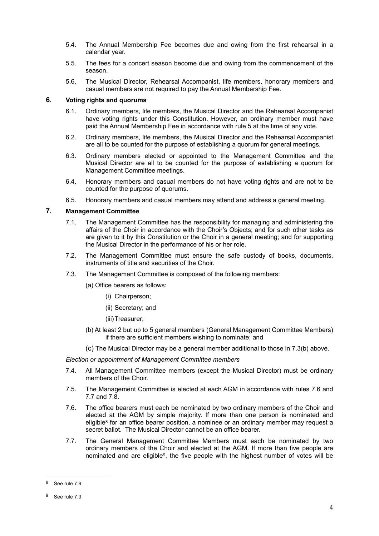- 5.4. The Annual Membership Fee becomes due and owing from the first rehearsal in a calendar year.
- 5.5. The fees for a concert season become due and owing from the commencement of the season.
- 5.6. The Musical Director, Rehearsal Accompanist, life members, honorary members and casual members are not required to pay the Annual Membership Fee.

#### **6. Voting rights and quorums**

- 6.1. Ordinary members, life members, the Musical Director and the Rehearsal Accompanist have voting rights under this Constitution. However, an ordinary member must have paid the Annual Membership Fee in accordance with rule 5 at the time of any vote.
- 6.2. Ordinary members, life members, the Musical Director and the Rehearsal Accompanist are all to be counted for the purpose of establishing a quorum for general meetings.
- 6.3. Ordinary members elected or appointed to the Management Committee and the Musical Director are all to be counted for the purpose of establishing a quorum for Management Committee meetings.
- 6.4. Honorary members and casual members do not have voting rights and are not to be counted for the purpose of quorums.
- 6.5. Honorary members and casual members may attend and address a general meeting.

# **7. Management Committee**

- 7.1. The Management Committee has the responsibility for managing and administering the affairs of the Choir in accordance with the Choir's Objects; and for such other tasks as are given to it by this Constitution or the Choir in a general meeting; and for supporting the Musical Director in the performance of his or her role.
- 7.2. The Management Committee must ensure the safe custody of books, documents, instruments of title and securities of the Choir.
- 7.3. The Management Committee is composed of the following members:
	- (a) Office bearers as follows:
		- (i) Chairperson;
		- (ii) Secretary; and
		- (iii)Treasurer;
	- (b) At least 2 but up to 5 general members (General Management Committee Members) if there are sufficient members wishing to nominate; and
	- (c) The Musical Director may be a general member additional to those in 7.3(b) above.

*Election or appointment of Management Committee members*

- 7.4. All Management Committee members (except the Musical Director) must be ordinary members of the Choir.
- 7.5. The Management Committee is elected at each AGM in accordance with rules 7.6 and 7.7 and 7.8.
- <span id="page-3-2"></span>7.6. The office bearers must each be nominated by two ordinary members of the Choir and elected at the AGM by simple majority. If more than one person is nominated and [e](#page-3-0)ligible<sup>[8](#page-3-0)</sup> for an office bearer position, a nominee or an ordinary member may request a secret ballot. The Musical Director cannot be an office bearer.
- <span id="page-3-3"></span>7.7. The General Management Committee Members must each be nominated by two ordinary members of the Choir and elected at the AGM. If more than five people are nominated and are eligible<sup>9</sup>[,](#page-3-1) the five people with the highest number of votes will be

<span id="page-3-0"></span>See rule 7.9

<span id="page-3-1"></span><sup>&</sup>lt;sup>[9](#page-3-3)</sup> See rule 7.9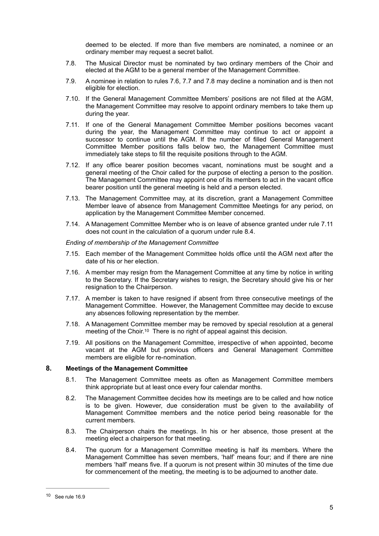deemed to be elected. If more than five members are nominated, a nominee or an ordinary member may request a secret ballot.

- 7.8. The Musical Director must be nominated by two ordinary members of the Choir and elected at the AGM to be a general member of the Management Committee.
- 7.9. A nominee in relation to rules 7.6, 7.7 and 7.8 may decline a nomination and is then not eligible for election.
- 7.10. If the General Management Committee Members' positions are not filled at the AGM, the Management Committee may resolve to appoint ordinary members to take them up during the year.
- 7.11. If one of the General Management Committee Member positions becomes vacant during the year, the Management Committee may continue to act or appoint a successor to continue until the AGM. If the number of filled General Management Committee Member positions falls below two, the Management Committee must immediately take steps to fill the requisite positions through to the AGM.
- 7.12. If any office bearer position becomes vacant, nominations must be sought and a general meeting of the Choir called for the purpose of electing a person to the position. The Management Committee may appoint one of its members to act in the vacant office bearer position until the general meeting is held and a person elected.
- 7.13. The Management Committee may, at its discretion, grant a Management Committee Member leave of absence from Management Committee Meetings for any period, on application by the Management Committee Member concerned.
- 7.14. A Management Committee Member who is on leave of absence granted under rule 7.11 does not count in the calculation of a quorum under rule 8.4.

#### *Ending of membership of the Management Committee*

- 7.15. Each member of the Management Committee holds office until the AGM next after the date of his or her election.
- 7.16. A member may resign from the Management Committee at any time by notice in writing to the Secretary. If the Secretary wishes to resign, the Secretary should give his or her resignation to the Chairperson.
- 7.17. A member is taken to have resigned if absent from three consecutive meetings of the Management Committee. However, the Management Committee may decide to excuse any absences following representation by the member.
- <span id="page-4-1"></span>7.18. A Management Committee member may be removed by special resolution at a general meeting of the Choir.<sup>10</sup> There is no right of appeal against this decision.
- 7.19. All positions on the Management Committee, irrespective of when appointed, become vacant at the AGM but previous officers and General Management Committee members are eligible for re-nomination.

### **8. Meetings of the Management Committee**

- 8.1. The Management Committee meets as often as Management Committee members think appropriate but at least once every four calendar months.
- 8.2. The Management Committee decides how its meetings are to be called and how notice is to be given. However, due consideration must be given to the availability of Management Committee members and the notice period being reasonable for the current members.
- 8.3. The Chairperson chairs the meetings. In his or her absence, those present at the meeting elect a chairperson for that meeting.
- 8.4. The quorum for a Management Committee meeting is half its members. Where the Management Committee has seven members, 'half' means four; and if there are nine members 'half' means five. If a quorum is not present within 30 minutes of the time due for commencement of the meeting, the meeting is to be adjourned to another date.

<span id="page-4-0"></span> $10$  See rule  $16.9$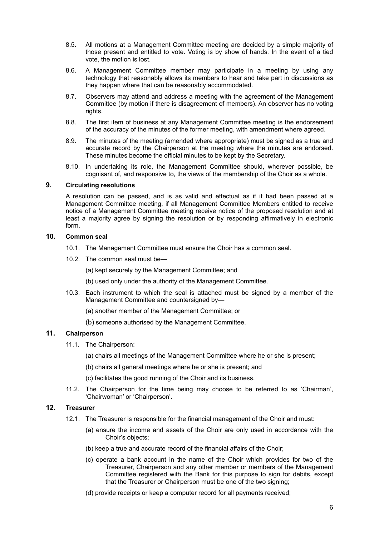- 8.5. All motions at a Management Committee meeting are decided by a simple majority of those present and entitled to vote. Voting is by show of hands. In the event of a tied vote, the motion is lost.
- 8.6. A Management Committee member may participate in a meeting by using any technology that reasonably allows its members to hear and take part in discussions as they happen where that can be reasonably accommodated.
- 8.7. Observers may attend and address a meeting with the agreement of the Management Committee (by motion if there is disagreement of members). An observer has no voting rights.
- 8.8. The first item of business at any Management Committee meeting is the endorsement of the accuracy of the minutes of the former meeting, with amendment where agreed.
- 8.9. The minutes of the meeting (amended where appropriate) must be signed as a true and accurate record by the Chairperson at the meeting where the minutes are endorsed. These minutes become the official minutes to be kept by the Secretary.
- 8.10. In undertaking its role, the Management Committee should, wherever possible, be cognisant of, and responsive to, the views of the membership of the Choir as a whole.

# **9. Circulating resolutions**

A resolution can be passed, and is as valid and effectual as if it had been passed at a Management Committee meeting, if all Management Committee Members entitled to receive notice of a Management Committee meeting receive notice of the proposed resolution and at least a majority agree by signing the resolution or by responding affirmatively in electronic form.

# **10. Common seal**

- 10.1. The Management Committee must ensure the Choir has a common seal.
- 10.2. The common seal must be—
	- (a) kept securely by the Management Committee; and
	- (b) used only under the authority of the Management Committee.
- 10.3. Each instrument to which the seal is attached must be signed by a member of the Management Committee and countersigned by—
	- (a) another member of the Management Committee; or
	- (b) someone authorised by the Management Committee.

# **11. Chairperson**

- 11.1. The Chairperson:
	- (a) chairs all meetings of the Management Committee where he or she is present;
	- (b) chairs all general meetings where he or she is present; and
	- (c) facilitates the good running of the Choir and its business.
- 11.2. The Chairperson for the time being may choose to be referred to as 'Chairman', 'Chairwoman' or 'Chairperson'.

# **12. Treasurer**

- 12.1. The Treasurer is responsible for the financial management of the Choir and must:
	- (a) ensure the income and assets of the Choir are only used in accordance with the Choir's objects;
	- (b) keep a true and accurate record of the financial affairs of the Choir;
	- (c) operate a bank account in the name of the Choir which provides for two of the Treasurer, Chairperson and any other member or members of the Management Committee registered with the Bank for this purpose to sign for debits, except that the Treasurer or Chairperson must be one of the two signing;
	- (d) provide receipts or keep a computer record for all payments received;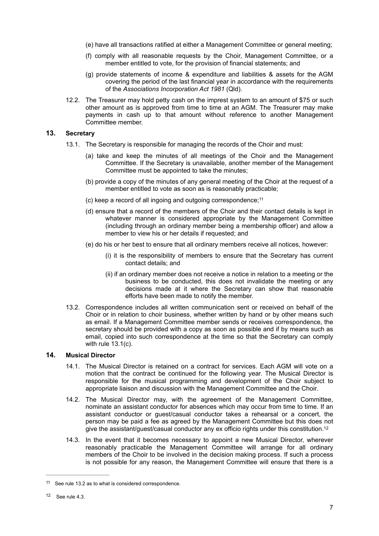- (e) have all transactions ratified at either a Management Committee or general meeting;
- (f) comply with all reasonable requests by the Choir, Management Committee, or a member entitled to vote, for the provision of financial statements; and
- (g) provide statements of income & expenditure and liabilities & assets for the AGM covering the period of the last financial year in accordance with the requirements of the *Associations Incorporation Act 1981* (Qld).
- 12.2. The Treasurer may hold petty cash on the imprest system to an amount of \$75 or such other amount as is approved from time to time at an AGM. The Treasurer may make payments in cash up to that amount without reference to another Management Committee member.

# **13. Secretary**

- <span id="page-6-2"></span>13.1. The Secretary is responsible for managing the records of the Choir and must:
	- (a) take and keep the minutes of all meetings of the Choir and the Management Committee. If the Secretary is unavailable, another member of the Management Committee must be appointed to take the minutes;
	- (b) provide a copy of the minutes of any general meeting of the Choir at the request of a member entitled to vote as soon as is reasonably practicable;
	- (c) keep a record of all ingoing and outgoing correspondence;[11](#page-6-0)
	- (d) ensure that a record of the members of the Choir and their contact details is kept in whatever manner is considered appropriate by the Management Committee (including through an ordinary member being a membership officer) and allow a member to view his or her details if requested; and
	- (e) do his or her best to ensure that all ordinary members receive all notices, however:
		- (i) it is the responsibility of members to ensure that the Secretary has current contact details; and
		- (ii) if an ordinary member does not receive a notice in relation to a meeting or the business to be conducted, this does not invalidate the meeting or any decisions made at it where the Secretary can show that reasonable efforts have been made to notify the member.
- 13.2. Correspondence includes all written communication sent or received on behalf of the Choir or in relation to choir business, whether written by hand or by other means such as email. If a Management Committee member sends or receives correspondence, the secretary should be provided with a copy as soon as possible and if by means such as email, copied into such correspondence at the time so that the Secretary can comply with rule 13.1(c).

### **14. Musical Director**

- 14.1. The Musical Director is retained on a contract for services. Each AGM will vote on a motion that the contract be continued for the following year. The Musical Director is responsible for the musical programming and development of the Choir subject to appropriate liaison and discussion with the Management Committee and the Choir.
- 14.2. The Musical Director may, with the agreement of the Management Committee, nominate an assistant conductor for absences which may occur from time to time. If an assistant conductor or guest/casual conductor takes a rehearsal or a concert, the person may be paid a fee as agreed by the Management Committee but this does not give the assistant/guest/casual conductor any ex officio rights under this constitution[.12](#page-6-1)
- <span id="page-6-3"></span>14.3. In the event that it becomes necessary to appoint a new Musical Director, wherever reasonably practicable the Management Committee will arrange for all ordinary members of the Choir to be involved in the decision making process. If such a process is not possible for any reason, the Management Committee will ensure that there is a

<span id="page-6-0"></span> $11$  See rule 13.2 as to what is considered correspondence.

<span id="page-6-1"></span> $12$  See rule 4.3.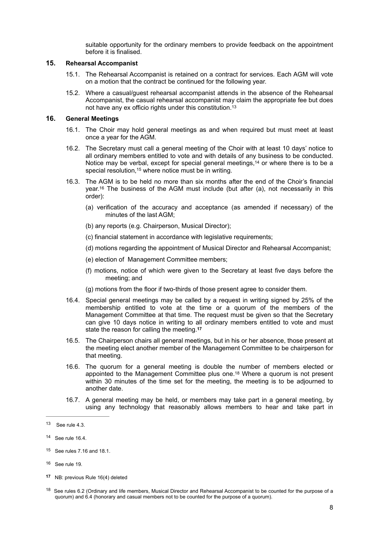<span id="page-7-6"></span>suitable opportunity for the ordinary members to provide feedback on the appointment before it is finalised.

### **15. Rehearsal Accompanist**

- 15.1. The Rehearsal Accompanist is retained on a contract for services. Each AGM will vote on a motion that the contract be continued for the following year.
- 15.2. Where a casual/guest rehearsal accompanist attends in the absence of the Rehearsal Accompanist, the casual rehearsal accompanist may claim the appropriate fee but does not have any ex officio rights under this constitution.[13](#page-7-0)

# **16. General Meetings**

- 16.1. The Choir may hold general meetings as and when required but must meet at least once a year for the AGM.
- <span id="page-7-7"></span>16.2. The Secretary must call a general meeting of the Choir with at least 10 days' notice to all ordinary members entitled to vote and with details of any business to be conducted. Notice may be verbal, except for special general meetings,<sup>[14](#page-7-1)</sup> or where there is to be a special resolution[,](#page-7-2) <sup>[15](#page-7-2)</sup> where notice must be in writing.
- <span id="page-7-9"></span><span id="page-7-8"></span>16.3. The AGM is to be held no more than six months after the end of the Choir's financial year[.](#page-7-3)<sup>[16](#page-7-3)</sup> The business of the AGM must include (but after (a), not necessarily in this order):
	- (a) verification of the accuracy and acceptance (as amended if necessary) of the minutes of the last AGM;
	- (b) any reports (e.g. Chairperson, Musical Director);
	- (c) financial statement in accordance with legislative requirements;
	- (d) motions regarding the appointment of Musical Director and Rehearsal Accompanist;
	- (e) election of Management Committee members;
	- (f) motions, notice of which were given to the Secretary at least five days before the meeting; and
	- (g) motions from the floor if two-thirds of those present agree to consider them.
- 16.4. Special general meetings may be called by a request in writing signed by 25% of the membership entitled to vote at the time or a quorum of the members of the Management Committee at that time. The request must be given so that the Secretary can give 10 days notice in writing to all ordinary members entitled to vote and must state the reason for calling the meeting.**[17](#page-7-4)**
- <span id="page-7-10"></span>16.5. The Chairperson chairs all general meetings, but in his or her absence, those present at the meeting elect another member of the Management Committee to be chairperson for that meeting.
- <span id="page-7-11"></span>16.6. The quorum for a general meeting is double the number of members elected or appointed to the Management Committee plus one.<sup>[18](#page-7-5)</sup> Where a quorum is not present within 30 minutes of the time set for the meeting, the meeting is to be adjourned to another date.
- 16.7. A general meeting may be held, or members may take part in a general meeting, by using any technology that reasonably allows members to hear and take part in

<span id="page-7-0"></span> $13$  See rule 4.3.

<span id="page-7-1"></span>[<sup>14</sup>](#page-7-7) See rule 16.4.

<span id="page-7-2"></span>[<sup>15</sup>](#page-7-8) See rules 7.16 and 18.1.

<span id="page-7-3"></span> $16$  See rule 19.

<span id="page-7-4"></span>NB: previous Rule 16(4) deleted **[17](#page-7-10)**

<span id="page-7-5"></span><sup>&</sup>lt;sup>[18](#page-7-11)</sup> See rules 6.2 (Ordinary and life members, Musical Director and Rehearsal Accompanist to be counted for the purpose of a quorum) and 6.4 (honorary and casual members not to be counted for the purpose of a quorum).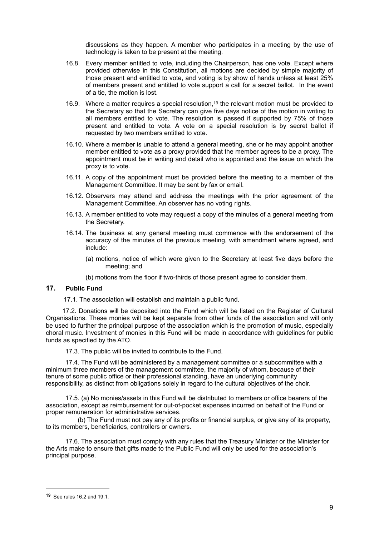<span id="page-8-1"></span>discussions as they happen. A member who participates in a meeting by the use of technology is taken to be present at the meeting.

- 16.8. Every member entitled to vote, including the Chairperson, has one vote. Except where provided otherwise in this Constitution, all motions are decided by simple majority of those present and entitled to vote, and voting is by show of hands unless at least 25% of members present and entitled to vote support a call for a secret ballot. In the event of a tie, the motion is lost.
- 16.9. Where a matter requires a special resolution[,](#page-8-0)<sup>[19](#page-8-0)</sup> the relevant motion must be provided to the Secretary so that the Secretary can give five days notice of the motion in writing to all members entitled to vote. The resolution is passed if supported by 75% of those present and entitled to vote. A vote on a special resolution is by secret ballot if requested by two members entitled to vote.
- 16.10. Where a member is unable to attend a general meeting, she or he may appoint another member entitled to vote as a proxy provided that the member agrees to be a proxy. The appointment must be in writing and detail who is appointed and the issue on which the proxy is to vote.
- 16.11. A copy of the appointment must be provided before the meeting to a member of the Management Committee. It may be sent by fax or email.
- 16.12. Observers may attend and address the meetings with the prior agreement of the Management Committee. An observer has no voting rights.
- 16.13. A member entitled to vote may request a copy of the minutes of a general meeting from the Secretary.
- 16.14. The business at any general meeting must commence with the endorsement of the accuracy of the minutes of the previous meeting, with amendment where agreed, and include:
	- (a) motions, notice of which were given to the Secretary at least five days before the meeting; and
	- (b) motions from the floor if two-thirds of those present agree to consider them.

#### **17. Public Fund**

17.1. The association will establish and maintain a public fund.

 17.2. Donations will be deposited into the Fund which will be listed on the Register of Cultural Organisations. These monies will be kept separate from other funds of the association and will only be used to further the principal purpose of the association which is the promotion of music, especially choral music. Investment of monies in this Fund will be made in accordance with guidelines for public funds as specified by the ATO.

17.3. The public will be invited to contribute to the Fund.

 17.4. The Fund will be administered by a management committee or a subcommittee with a minimum three members of the management committee, the majority of whom, because of their tenure of some public office or their professional standing, have an underlying community responsibility, as distinct from obligations solely in regard to the cultural objectives of the choir.

 17.5. (a) No monies/assets in this Fund will be distributed to members or office bearers of the association, except as reimbursement for out-of-pocket expenses incurred on behalf of the Fund or proper remuneration for administrative services.

 (b) The Fund must not pay any of its profits or financial surplus, or give any of its property, to its members, beneficiaries, controllers or owners.

 17.6. The association must comply with any rules that the Treasury Minister or the Minister for the Arts make to ensure that gifts made to the Public Fund will only be used for the association's principal purpose.

<span id="page-8-0"></span> $19$  See rules 16.2 and 19.1.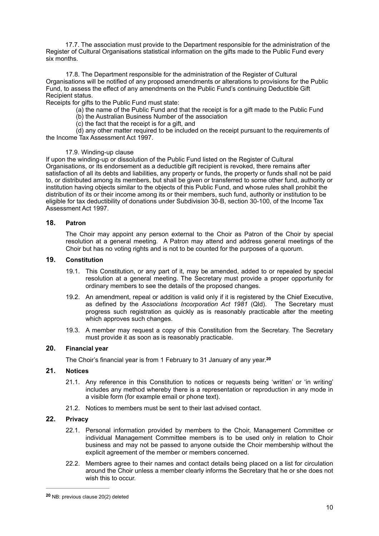17.7. The association must provide to the Department responsible for the administration of the Register of Cultural Organisations statistical information on the gifts made to the Public Fund every six months.

 17.8. The Department responsible for the administration of the Register of Cultural Organisations will be notified of any proposed amendments or alterations to provisions for the Public Fund, to assess the effect of any amendments on the Public Fund's continuing Deductible Gift Recipient status.

Receipts for gifts to the Public Fund must state:

(a) the name of the Public Fund and that the receipt is for a gift made to the Public Fund

(b) the Australian Business Number of the association

(c) the fact that the receipt is for a gift, and

 (d) any other matter required to be included on the receipt pursuant to the requirements of the Income Tax Assessment Act 1997.

### 17.9. Winding-up clause

If upon the winding-up or dissolution of the Public Fund listed on the Register of Cultural Organisations, or its endorsement as a deductible gift recipient is revoked, there remains after satisfaction of all its debts and liabilities, any property or funds, the property or funds shall not be paid to, or distributed among its members, but shall be given or transferred to some other fund, authority or institution having objects similar to the objects of this Public Fund, and whose rules shall prohibit the distribution of its or their income among its or their members, such fund, authority or institution to be eligible for tax deductibility of donations under Subdivision 30-B, section 30-100, of the Income Tax Assessment Act 1997.

# **18. Patron**

The Choir may appoint any person external to the Choir as Patron of the Choir by special resolution at a general meeting. A Patron may attend and address general meetings of the Choir but has no voting rights and is not to be counted for the purposes of a quorum.

### **19. Constitution**

- 19.1. This Constitution, or any part of it, may be amended, added to or repealed by special resolution at a general meeting. The Secretary must provide a proper opportunity for ordinary members to see the details of the proposed changes.
- 19.2. An amendment, repeal or addition is valid only if it is registered by the Chief Executive, as defined by the *Associations Incorporation Act 1981* (Qld). The Secretary must progress such registration as quickly as is reasonably practicable after the meeting which approves such changes.
- 19.3. A member may request a copy of this Constitution from the Secretary. The Secretary must provide it as soon as is reasonably practicable.

# **20. Financial year**

<span id="page-9-1"></span>The Choir's financial year is from 1 February to 31 January of any year.**[20](#page-9-0)**

# **21. Notices**

- 21.1. Any reference in this Constitution to notices or requests being 'written' or 'in writing' includes any method whereby there is a representation or reproduction in any mode in a visible form (for example email or phone text).
- 21.2. Notices to members must be sent to their last advised contact.

### **22. Privacy**

- 22.1. Personal information provided by members to the Choir, Management Committee or individual Management Committee members is to be used only in relation to Choir business and may not be passed to anyone outside the Choir membership without the explicit agreement of the member or members concerned.
- 22.2. Members agree to their names and contact details being placed on a list for circulation around the Choir unless a member clearly informs the Secretary that he or she does not wish this to occur.

<span id="page-9-0"></span>NB: previous clause 20(2) deleted **[20](#page-9-1)**